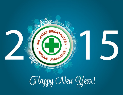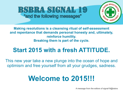# **BSBRA SIGNAL 19** "and the following messages"



**Making resolutions is a cleansing ritual of self-assessment and repentance that demands personal honesty and, ultimately, reinforce humility. Breaking them is part of the cycle.**

# **Start 2015 with a fresh ATTITUDE.**

This new year take a new plunge into the ocean of hope and optimism and free yourself from all your grudges, sadness.

# **Welcome to 2015!!!**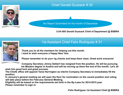# Chief Gerald Guzsack # 30



No Report Submitted for the month of December

**3-24-30G Gerald Guzsack Chief of Department @ BSBRA**



### 1st Assistant Chief Felix Rodriguez # 31

**Thank you to all the members for helping out this month. I want to wish everyone a Happy New Year.**

**Please remember to do your rig checks and keep them clean, Great work everyone!** 

**Company Secretary Jimmy Seibert has resigned from the position. He will be pursuing his Masters degree in Austria and will be moving up there the end of the month. Let's all** 

**wish him good luck and great success.** 

**The Chiefs office will appoint Tania Harrington as interim Company Secretary to immediately fill the position.** 

**In January's general meeting we will open the floor for nomination on the vacant position and voting will take place before the February General Meeting.** 

**Eligibility will be based on the requirements set forth in the By-Laws for 2014-2015 year. Please remember to sign in.** 

 **-Felix Rodriguez 1st Assistant Chief @ BSBRA**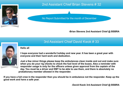

## 2nd Assistant Chief Brian Stevens # 32

No Report Submitted for the month of December

#### **-Brian Stevens 2nd Assistant Chief @ BSBRA**

**Hello all**

### 3rd Assistant Chief David Kwok # 33

**I hope everyone had a wonderful holiday and new year. It has been a great year with everyone and their hard work and dedication.**

**Just a few minor things please keep the ambulances clean inside and out and make sure when you do your rig checks to check the fuel level of the buses. Also a reminder with responder usage is only for the officers unless given approval from the captain of the day. You must be a driver and EMT to be able to use them, and there is absolutely no probationary member allowed in the responder.**

**If you have a full crew in the responder then you should be in ambulance not the responder. Keep up the good work and have a safe year.** 

**-David Kwok 3rd Assistant Chief @ BSBRA**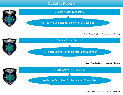### Captain's Reports

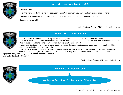#### WEDNESDAY John Martinez #53

What can I say,

To all the members that help me this past year, Thank You so much, You have made my job so ease to handle

You made this a successful year for me, let us make this upcoming new year, one to remember!

Keep up the great job!

John Martinez Captain #53 \* [jmartinez@bsbra.org](mailto:jmartinez@bsbra.org)



#### THURSDAY Tim Presinger #54

I would first like to say that I hope everyone had a happy holiday season and a wonderful New Years! I still am in much needed help between 6:00 and 18:00. I still only have one Tech and the paid staff between those hours. So if you are available to come down and help I would greatly appreciate it!

I would also like to remind everyone (once again) to please do your own dishes and clean up after yourselves. This should not be left for the next crew to do.

I also would like to remind everyone that a rig check MUST be done at the start of your shift. Do not wait for your crew chief or captain to tell you. You guys should know this. It is very important to make sure that we have the correct

equipment going into every call. So please do your rig checks. Lets make this the best year yet!

Tim Presinger Captain #54 \* [chevyxll@aol.com](mailto:chevyxll@aol.com)

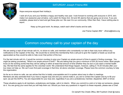#### SATURDAY Joseph Frisina #56



Hope everyone enjoyed their holiday's.

I wish all of you and your families a happy and healthy new year. I look forward to working with everyone in 2015, let's make it an awesome year at bsbra. Let's watch for these 2nd, 3rd and 4th alarms that are going out at once. If you are available, please lend a hand and get these jobs out. We owe it to our community. Other then that, I have nothing else to report.

Keep up the good work. As always, watch each other's backs and be safe.

Joe Frisina Captain #56 \* [Jfrisina@bsbra.org](mailto:Jfrisina@bsbra.org)

### Common courtesy call to your captain of the day

We are seeing a rash of last minute call in's, no show-no calls, and members who consistently run late to their duty tours without any notifications to the Captain of the Day. We would like to remind the membership that a call just to give the Captain a heads up would be appreciated as they would be able to help cover that portion of the tour.

For the last minute call in's, it would be common courtesy to give your Captain an ample amount of time to assist in finding coverage. You might be asking yourselves, "What is an ample amount if time?" We are asking that you give a minimum of SIX (6) hours notice. Most people know (in the working world) that they will be calling in within at least that amount of time whether they be sick or just need a mental health day. We feel that the same applies for the volunteer world. We understand that things happen, however, calling in 15-20 minutes after your tour does not help us. We can't even find paid coverage in that time, let alone volunteer coverage. Please have the common courtesy to help the organization.

As far as no show-no calls, we can advise that this Is totally unacceptable and it is spoken about way to often in meetings. Members are also reminded that if you have a regular duty slot and you cannot make it, you are to contact the Captain and try to fill your spot. (as per the SOP's). You are responsible for your duty slot, regardless if you are a probationary member, dispatcher, EMT or Driver.

These situations apply to all members, probationary and badge, call-in to interim. When you commit to a slot or to help out someone, please do it. You are giving your word that you will help them out. Should you have any questions in regard's to these requests, please see a Chief.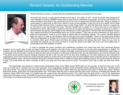# Richard Veraldo: An Outstanding Member



Richard Veraldo has been a member Bay Shore Brightwaters Rescue Ambulance for 45 years.

He joined the core as a youth squad member at the age of 16 in May, of 1971. At first he joined solely because he was interested in driving a BSBRA vehicle that he saw while at a Memorial Day parade. Of course now Richard is an active member to give back to the community and for the rush of saving lives. Richard feels that. "Being a member of youth squad is a good way to learn and a good to move up and progress. It sets you up to be a leader and to make this place better because there is always a way to make things better." He also feel that youth squad is "a great way for the kids to come up through the ranks." Richard himself was a captain for 5 terms and was on the Board of Directors for 2 terms. After being a member of the core for 45 years and serving in a position of power for a total of 7 terms Richard has gained carful insight on the infrastructure of the organization. Richard feels that sometimes "people don't realize the amount of responsibility that is put on the captains." They may be strict sometimes but "they work to better the organization. There is a lot to being a captain that not everybody realizes." As a senior member Richard feels his duty is "to help by the guidance that he can give from past knowledge." Some of the advice that Richard offers the organization is to keep up the moral in the building because a positive moral is key. He feels that the moral is currently pretty good. Richard says that there are always going to be groups that don't clique but you have to remember the purpose you are here and that is to help the person that called. We must over come differences in personalities and work together he stated.

In order to integrate the newer members and probationary members and make them feel more welcomed Richard thought it to be a good idea to have an event to bring us all together. He'd like to see a picnic between us and the other organizations in Suffolk. For example: lets say Sayville would bring the drinks, Bay Shore would do the cooking, Exchange could provide the entertainment, Brentwood could make up a scavenger hunt for the kids. It would be ideal for each group to handle a certain part of the picnic this way all organizations are involved. Richard said, "This picnic would benefit everyone because whenever we got a call, the year all of the fires were breaking out, we were meeting up with members of organizations and if we have this we would know the people on scene and it could improve how we work together and it could also serve to decrease the animosity between towns." Richard mentioned that even a situation where there is coffee and cake at the building would do. Of course everyone would be invited. This would allow the newer members to talk to the guys that have been around a while. The seniors could "talk to them and pick their brains apart."

 The organization has advance in medicine and membership. Back in the 1980s women EMTs were not very popular. In fact they were rare. It was seen as a mans job to volunteer time as a first responder. As the segregation between sexes diminished women started joining the core. Richard said it was weird at first. "You cold be harsh and bash like men usually are they had to watch what they said and how they said it. It made them polite." Richard thinks that women joining the core improved patient care. The women kept the men in check and they were more conscious of treating the patients with manners. Doing CPR in the back of a Cadillac was the newest thing when Richard joined. They didn't have the jaws of life or any of the mechanical instruments that assist us now. The EMS has gone from taking one manual BP en route to the hospital to taking multiple BPs on an automatic instrument. Technology is constantly improving and we are constantly evolving.



The youth Squad newsletter committee for Signal 19

-Kayla Corsini

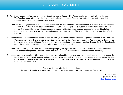# ALS ANNOUNCEMENT

- 1. We will be transitioning from combi-tubes to King airways as of January 1st. Please familiarize yourself with the devices. YouTube has some informative videos on the utilization of the tubes. There is also a step by step instructional in the appendices of the Suffolk County ALS protocols.
- 2. The King Vision laryngoscope is in service and is stored on the medic vehicle. It is the intention to outfit all of the ambulances and ALS responders with this equipment in the near future. All ALS providers must be in-serviced and signed off on the device. There are different techniques required to properly utilize this equipment, as opposed to standard intubation practices. Please see me to go over the equipment at your convenience, The training should take no more than 10-15 minutes.
- 3. I am awaiting final approval from NYSDOH and the BNE (Bureau of Narcotics Enforcement) to add Fentanyl to our Controlled Substance formulary. The goal was to have this onboard by the New Year. Once again, all ALS members will need to be in-serviced and signed off to use Fentanyl. I am working on dates with our agency medical director, Dr. Brian Blaustein, to do our initial training in-servicing. Dates will be announced and posted.
- 4. There is a possibility that BSBRA will be one of the pilot program agencies for the use of RSI (Rapid Sequence Intubation). This is in the initial phases. Jason Hoffman and I will be working closely with Dr. Blaustein to see this through.
- 5. Just a quick reminder about Nitroglycerin. Last year we switched from the nitro spray to the sublingual tabs. If the cap on the bottle is taped over, then it has not yet been opened. If you are the first to open a bottle, please write the date on the label of the bottle. These tablets only have a shelf-life of 6 months once opened, so we must be prudent in switching them out once that time frame expires.

Thank you for your attention to these matters. As always, if you have any questions or need to set up an in-servicing time, please feel free to call.

> Brian Derrick (631) 682-7046 [bderrick@bsbra.org](mailto:bderrick@bsbra.org)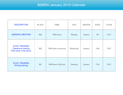# BSBRA January 2015 Calendar

| <b>DESCRIPTION</b>                                                            | <b>PLACE</b> | <b>TIME</b>           | <b>DAY</b> | <b>MONTH</b> | <b>DATE</b> | <b>YEAR</b> |
|-------------------------------------------------------------------------------|--------------|-----------------------|------------|--------------|-------------|-------------|
| <b>GENERAL MEETING</b>                                                        | HQ           | 2000 hours            | Monday     | January      | 5th         | 2015        |
| <b>EVOC TRAINING</b><br><b>Classroom training</b><br>First come, First serve. | HQ           | 1900 hours classroom  | Wednesday  | January      | 14th        | 2015        |
| <b>EVOC TRAINING</b><br><b>Driving training</b>                               | <b>BS</b>    | 1000 hours Field test | Saturday   | January      | 17th        | 2015        |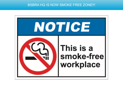### BSBRA HQ IS NOW SMOKE FREE ZONE!!!

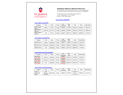

#### **EMERGENCY MEDICAL SERVICES INSTITUTE**

Accredited by the Commission on Accreditation of Allied Health Education Programs (CAAHEP)

175-05 Horace Harding Expressway Fresh Meadows, NY 11365 Phone 718 -990- 8436

#### www.stjohns.edu/EMS

#### www.stjohns.edu/EMT

| Program                       | Term   | Days    | Times  | <b>NYS</b><br>Course# | Reg.<br>End | Orie.    | Start    | State Date |
|-------------------------------|--------|---------|--------|-----------------------|-------------|----------|----------|------------|
| <b>EMT Original</b><br>2015-1 | Spring | M.T.W   | 6-10pm | 185035                | 01/16/15    | 02/02/15 | 02/04/15 | 05/21/15   |
| <b>EMT Original</b><br>2015-2 | Summer | M.T.W.T | 6-10pm | 185036                | 05/06/15    | 05/20/15 | 05/27/15 | 08/20/15   |
| <b>EMT Original</b><br>2015-3 | Fall   | M.T.W   | 6-10pm | 185037                | 08/12/15    | 08/26/15 | 09/02/15 | 12/17/15   |

#### www.stjohns.edu/EMTR

| Program     | Term   | Days     | Times   | <b>NYS</b><br>Course# | Reg.<br>End | Start    | State Date |
|-------------|--------|----------|---------|-----------------------|-------------|----------|------------|
| EMTR 2015-1 | Spring | Saturdav | $9a-5p$ | 185041                | 12/22/14    | 01/03/15 | 03/19/15   |
| EMTR 2015-2 | Summer | Saturdav | $9a-5p$ | 185045                | 05/26/15    | 06/06/15 | 08/20/15   |
| EMTR 2015-3 | Fall   | Saturdav | $9a-5p$ | 185044                | 08/17/15    | 08/29/15 | 11/19/15   |

#### www.stjohns.edu/ParamedicR

| Program   | Term   | Days     | Times   | <b>NYS</b> | Reg.     | Start    | State Date |
|-----------|--------|----------|---------|------------|----------|----------|------------|
|           |        |          |         | Course#    | End      |          |            |
| MR 2015-1 | Spring | Monday   | $9a-5p$ | 185042     | 12/22/14 | 01/05/15 | 04/16/15   |
| Core CME  |        |          |         | Pending    |          |          |            |
| MR 2015-2 | Summer | Tuesdav  | $9a-5p$ | 185043     | 03/31/15 | 04/14/14 | 07/16/15   |
| Core CME  |        |          |         | Pendina    |          |          |            |
| MR 2015-3 | Fall   | Saturday | $9a-5p$ | 185046     | 08/03/15 | 08/15/15 | 11/19/15   |
| Core CME  |        |          |         | Pending    |          |          |            |

#### www.stjohns.edu/Paramedic

| Program                             | erm"                       | Davs    | Times   | <b>NYS</b><br>Course# | Reg.<br>End | Orie.                | Start    | <b>State Date</b> |
|-------------------------------------|----------------------------|---------|---------|-----------------------|-------------|----------------------|----------|-------------------|
| <b>POC 17</b><br>Paramedic<br>Basic | Fall.<br>Spring,<br>Summer | Mon/Wed | $9a-5p$ | 186000                | 02/18/15    | 03/04/15<br>03/18/15 | 04/08/15 | 03/17/16          |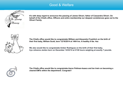## Good & Welfare



**It's with deep regret to announce the passing of James Oliveri, father of Cassandra Oliveri. On behalf of the Chiefs office, Officers and entire membership our deepest condolences goes out to the Oliveri Family.**



**The Chiefs office would like to congratulate William and Alexandra Froehlich on the birth of their first baby, William Scott, born 12/16/2014 at 1404 hrs. A healthy 6 lbs. 4oz**

**We also would like to congratulate Amber Rodriguez on the birth of their first baby, Irys Johanna Jardon born on December 12/23/14 at 2136 hours weighing at exactly 7 pounds.**



**The Chiefs office would like to congratulate Aaron Pellman-Isaacs and Ian Irwin on becoming a cleared EMTs within the department. Congrats!!**